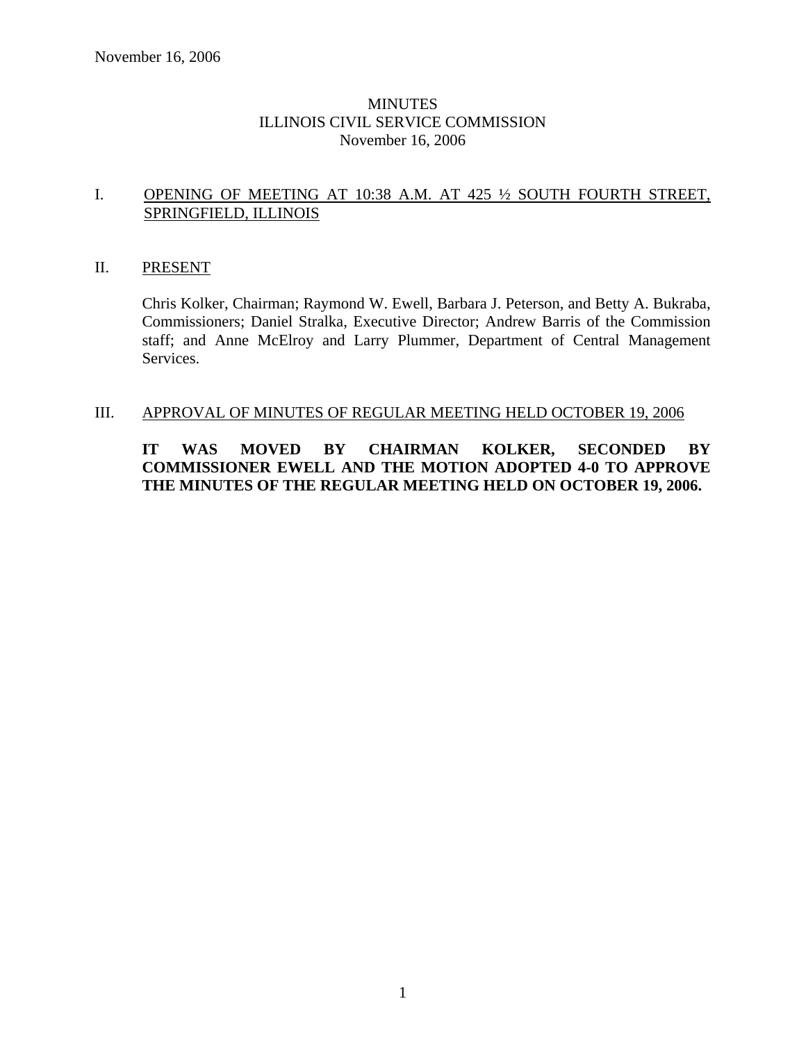## MINUTES ILLINOIS CIVIL SERVICE COMMISSION November 16, 2006

## I. OPENING OF MEETING AT 10:38 A.M. AT 425 ½ SOUTH FOURTH STREET, SPRINGFIELD, ILLINOIS

### II. PRESENT

Chris Kolker, Chairman; Raymond W. Ewell, Barbara J. Peterson, and Betty A. Bukraba, Commissioners; Daniel Stralka, Executive Director; Andrew Barris of the Commission staff; and Anne McElroy and Larry Plummer, Department of Central Management Services.

## III. APPROVAL OF MINUTES OF REGULAR MEETING HELD OCTOBER 19, 2006

## **IT WAS MOVED BY CHAIRMAN KOLKER, SECONDED BY COMMISSIONER EWELL AND THE MOTION ADOPTED 4-0 TO APPROVE THE MINUTES OF THE REGULAR MEETING HELD ON OCTOBER 19, 2006.**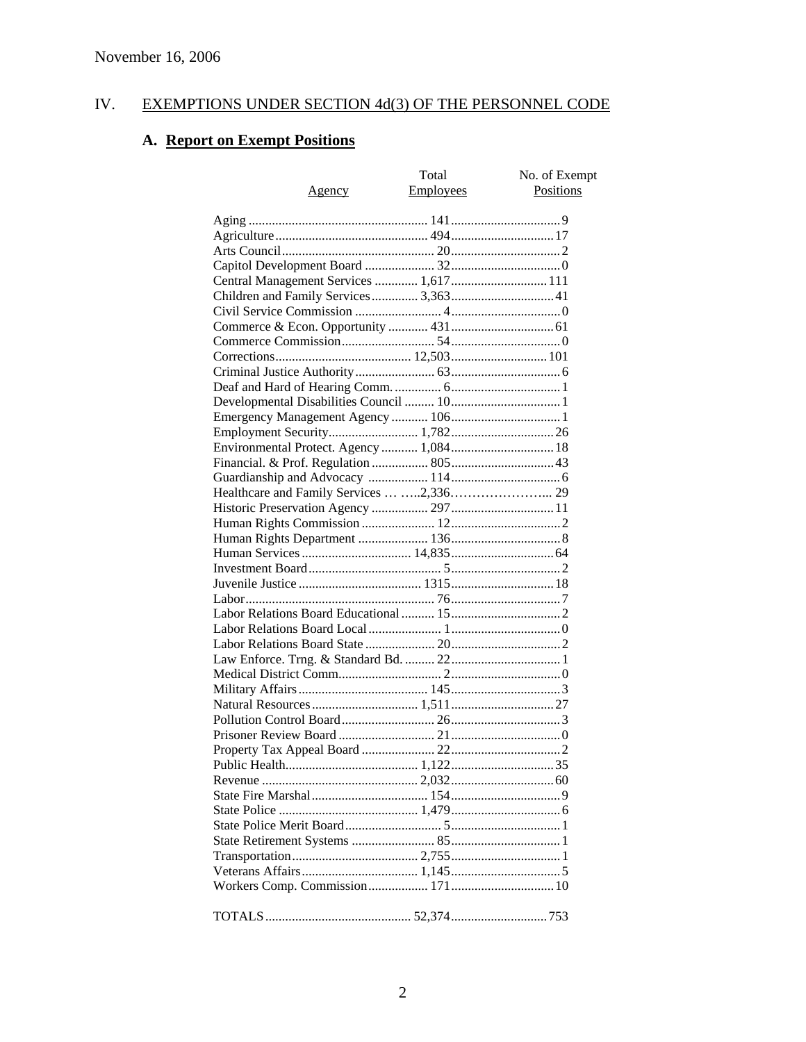# IV. EXEMPTIONS UNDER SECTION 4d(3) OF THE PERSONNEL CODE

# **A. Report on Exempt Positions**

| Agency                                  | Total<br><b>Employees</b> | No. of Exempt<br>Positions |
|-----------------------------------------|---------------------------|----------------------------|
|                                         |                           |                            |
|                                         |                           |                            |
|                                         |                           |                            |
|                                         |                           |                            |
| Central Management Services  1,617  111 |                           |                            |
|                                         |                           |                            |
|                                         |                           |                            |
|                                         |                           |                            |
|                                         |                           |                            |
|                                         |                           |                            |
|                                         |                           |                            |
|                                         |                           |                            |
|                                         |                           |                            |
|                                         |                           |                            |
|                                         |                           |                            |
|                                         |                           |                            |
| Environmental Protect. Agency  1,084 18 |                           |                            |
|                                         |                           |                            |
|                                         |                           |                            |
|                                         |                           |                            |
|                                         |                           |                            |
|                                         |                           |                            |
|                                         |                           |                            |
|                                         |                           |                            |
|                                         |                           |                            |
|                                         |                           |                            |
|                                         |                           |                            |
|                                         |                           |                            |
|                                         |                           |                            |
|                                         |                           |                            |
|                                         |                           |                            |
|                                         |                           |                            |
|                                         |                           |                            |
|                                         |                           |                            |
|                                         |                           |                            |
|                                         |                           |                            |
|                                         |                           |                            |
|                                         |                           |                            |
|                                         |                           |                            |
|                                         |                           |                            |
|                                         |                           |                            |
|                                         |                           |                            |
|                                         |                           |                            |
|                                         |                           |                            |
|                                         |                           |                            |
|                                         |                           |                            |
|                                         |                           |                            |
|                                         |                           |                            |
|                                         |                           |                            |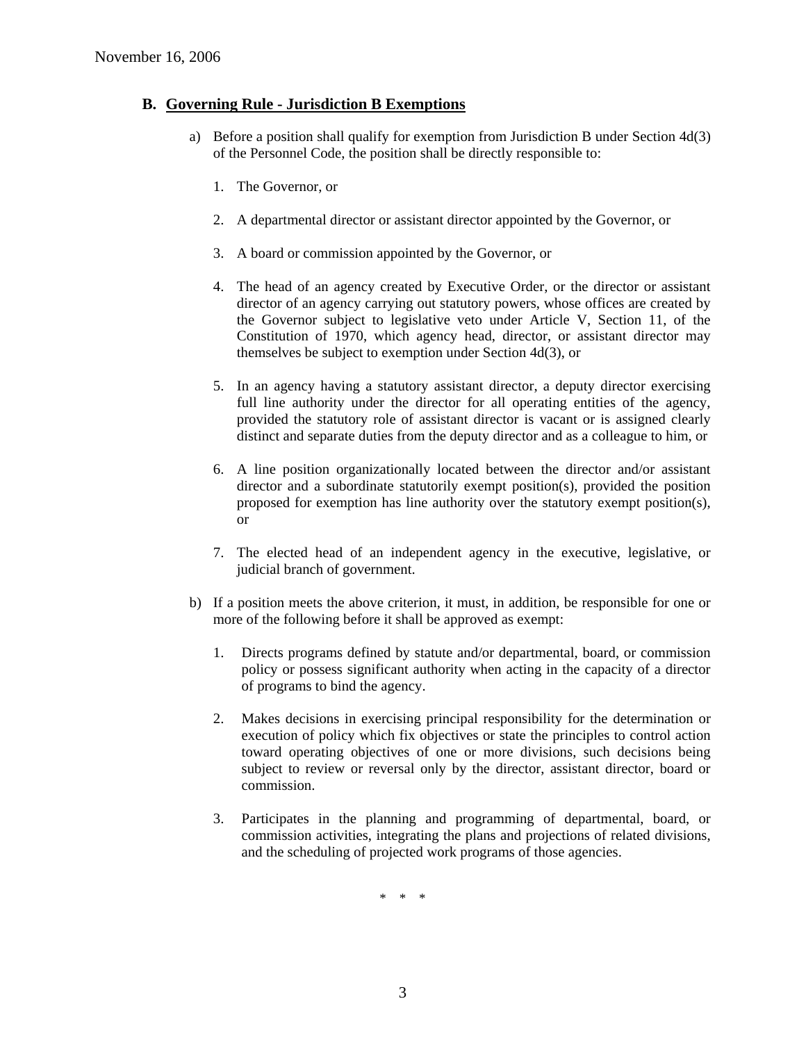### **B. Governing Rule - Jurisdiction B Exemptions**

- a) Before a position shall qualify for exemption from Jurisdiction B under Section 4d(3) of the Personnel Code, the position shall be directly responsible to:
	- 1. The Governor, or
	- 2. A departmental director or assistant director appointed by the Governor, or
	- 3. A board or commission appointed by the Governor, or
	- 4. The head of an agency created by Executive Order, or the director or assistant director of an agency carrying out statutory powers, whose offices are created by the Governor subject to legislative veto under Article V, Section 11, of the Constitution of 1970, which agency head, director, or assistant director may themselves be subject to exemption under Section 4d(3), or
	- 5. In an agency having a statutory assistant director, a deputy director exercising full line authority under the director for all operating entities of the agency, provided the statutory role of assistant director is vacant or is assigned clearly distinct and separate duties from the deputy director and as a colleague to him, or
	- 6. A line position organizationally located between the director and/or assistant director and a subordinate statutorily exempt position(s), provided the position proposed for exemption has line authority over the statutory exempt position(s), or
	- 7. The elected head of an independent agency in the executive, legislative, or judicial branch of government.
- b) If a position meets the above criterion, it must, in addition, be responsible for one or more of the following before it shall be approved as exempt:
	- 1. Directs programs defined by statute and/or departmental, board, or commission policy or possess significant authority when acting in the capacity of a director of programs to bind the agency.
	- 2. Makes decisions in exercising principal responsibility for the determination or execution of policy which fix objectives or state the principles to control action toward operating objectives of one or more divisions, such decisions being subject to review or reversal only by the director, assistant director, board or commission.
	- 3. Participates in the planning and programming of departmental, board, or commission activities, integrating the plans and projections of related divisions, and the scheduling of projected work programs of those agencies.

\* \* \*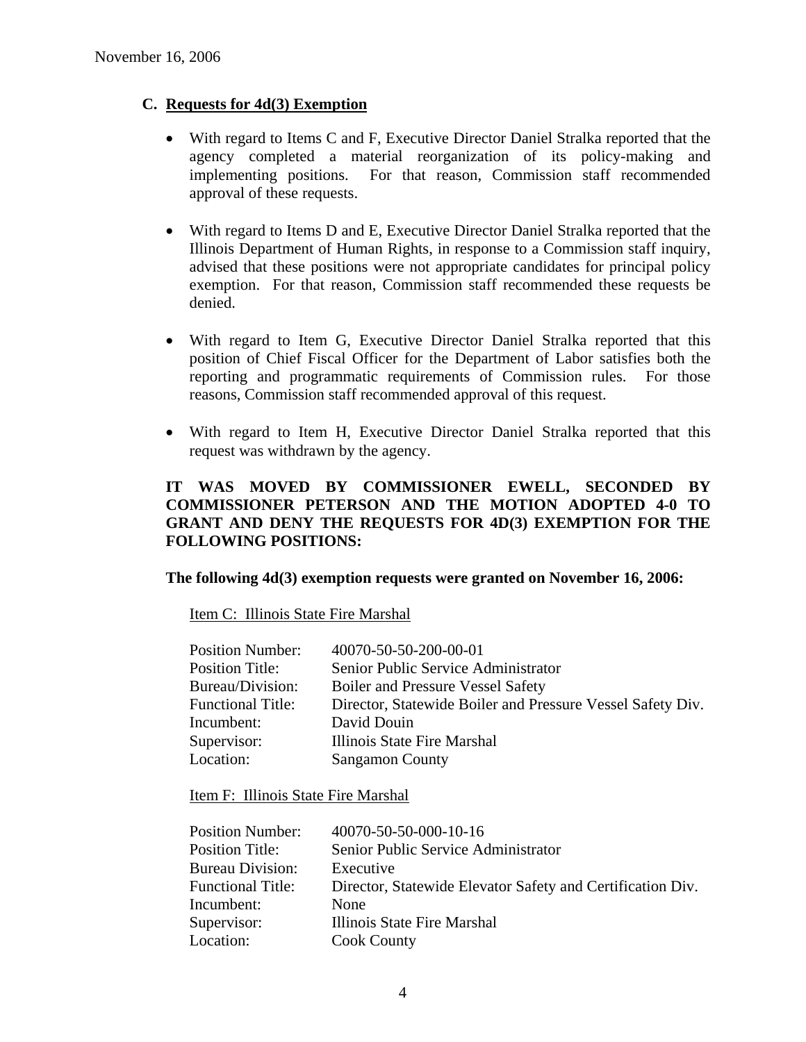## **C. Requests for 4d(3) Exemption**

- With regard to Items C and F, Executive Director Daniel Stralka reported that the agency completed a material reorganization of its policy-making and implementing positions. For that reason, Commission staff recommended approval of these requests.
- With regard to Items D and E, Executive Director Daniel Stralka reported that the Illinois Department of Human Rights, in response to a Commission staff inquiry, advised that these positions were not appropriate candidates for principal policy exemption. For that reason, Commission staff recommended these requests be denied.
- With regard to Item G, Executive Director Daniel Stralka reported that this position of Chief Fiscal Officer for the Department of Labor satisfies both the reporting and programmatic requirements of Commission rules. For those reasons, Commission staff recommended approval of this request.
- With regard to Item H, Executive Director Daniel Stralka reported that this request was withdrawn by the agency.

## **IT WAS MOVED BY COMMISSIONER EWELL, SECONDED BY COMMISSIONER PETERSON AND THE MOTION ADOPTED 4-0 TO GRANT AND DENY THE REQUESTS FOR 4D(3) EXEMPTION FOR THE FOLLOWING POSITIONS:**

### **The following 4d(3) exemption requests were granted on November 16, 2006:**

Item C: Illinois State Fire Marshal

| 40070-50-50-200-00-01                                      |
|------------------------------------------------------------|
| Senior Public Service Administrator                        |
| <b>Boiler and Pressure Vessel Safety</b>                   |
| Director, Statewide Boiler and Pressure Vessel Safety Div. |
| David Douin                                                |
| Illinois State Fire Marshal                                |
| <b>Sangamon County</b>                                     |
|                                                            |

Item F: Illinois State Fire Marshal

| 40070-50-50-000-10-16                                      |
|------------------------------------------------------------|
| Senior Public Service Administrator                        |
| Executive                                                  |
| Director, Statewide Elevator Safety and Certification Div. |
| <b>None</b>                                                |
| Illinois State Fire Marshal                                |
| <b>Cook County</b>                                         |
|                                                            |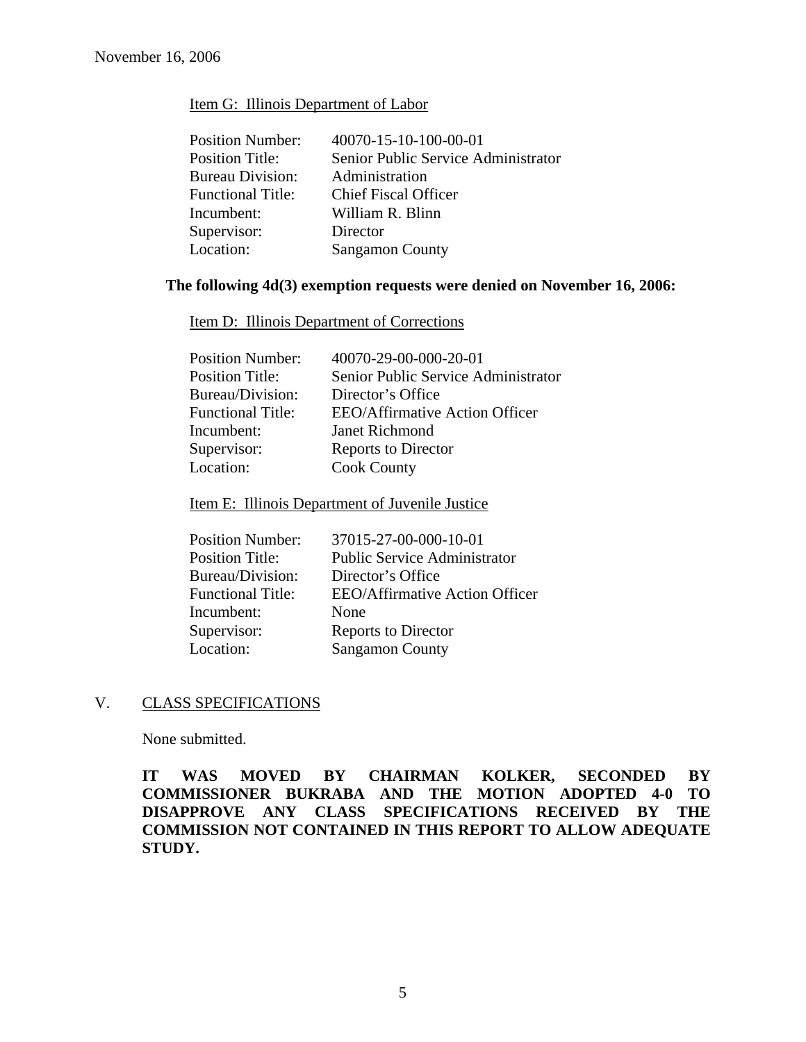### Item G: Illinois Department of Labor

| <b>Position Number:</b>  | 40070-15-10-100-00-01               |
|--------------------------|-------------------------------------|
| <b>Position Title:</b>   | Senior Public Service Administrator |
| <b>Bureau Division:</b>  | Administration                      |
| <b>Functional Title:</b> | <b>Chief Fiscal Officer</b>         |
| Incumbent:               | William R. Blinn                    |
| Supervisor:              | Director                            |
| Location:                | <b>Sangamon County</b>              |

## **The following 4d(3) exemption requests were denied on November 16, 2006:**

Item D: Illinois Department of Corrections

| 40070-29-00-000-20-01                 |
|---------------------------------------|
| Senior Public Service Administrator   |
| Director's Office                     |
| <b>EEO/Affirmative Action Officer</b> |
| Janet Richmond                        |
| Reports to Director                   |
| <b>Cook County</b>                    |
|                                       |

## Item E: Illinois Department of Juvenile Justice

| <b>Position Number:</b>  | 37015-27-00-000-10-01                 |
|--------------------------|---------------------------------------|
| <b>Position Title:</b>   | <b>Public Service Administrator</b>   |
| Bureau/Division:         | Director's Office                     |
| <b>Functional Title:</b> | <b>EEO/Affirmative Action Officer</b> |
| Incumbent:               | None                                  |
| Supervisor:              | Reports to Director                   |
| Location:                | <b>Sangamon County</b>                |
|                          |                                       |

### V. CLASS SPECIFICATIONS

None submitted.

**IT WAS MOVED BY CHAIRMAN KOLKER, SECONDED BY COMMISSIONER BUKRABA AND THE MOTION ADOPTED 4-0 TO DISAPPROVE ANY CLASS SPECIFICATIONS RECEIVED BY THE COMMISSION NOT CONTAINED IN THIS REPORT TO ALLOW ADEQUATE STUDY.**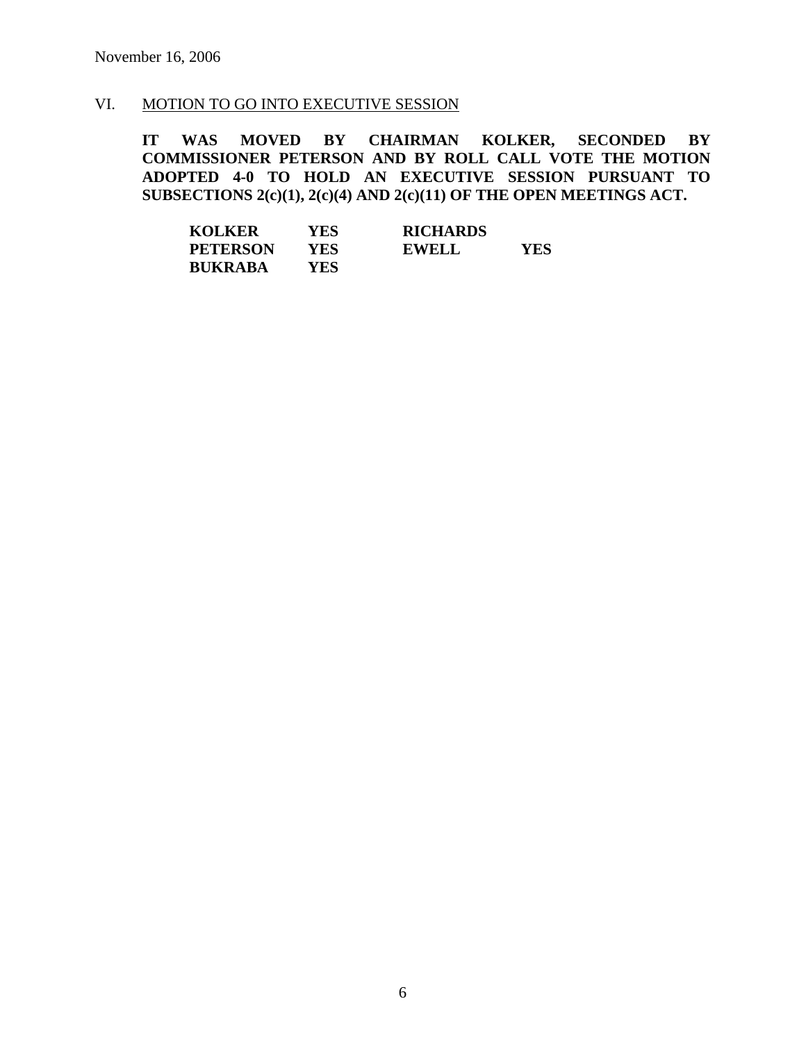## VI. MOTION TO GO INTO EXECUTIVE SESSION

**IT WAS MOVED BY CHAIRMAN KOLKER, SECONDED BY COMMISSIONER PETERSON AND BY ROLL CALL VOTE THE MOTION ADOPTED 4-0 TO HOLD AN EXECUTIVE SESSION PURSUANT TO SUBSECTIONS 2(c)(1), 2(c)(4) AND 2(c)(11) OF THE OPEN MEETINGS ACT.** 

| <b>KOLKER</b>   | YES | <b>RICHARDS</b> |     |
|-----------------|-----|-----------------|-----|
| <b>PETERSON</b> | YES | <b>EWELL</b>    | YES |
| <b>BUKRABA</b>  | YES |                 |     |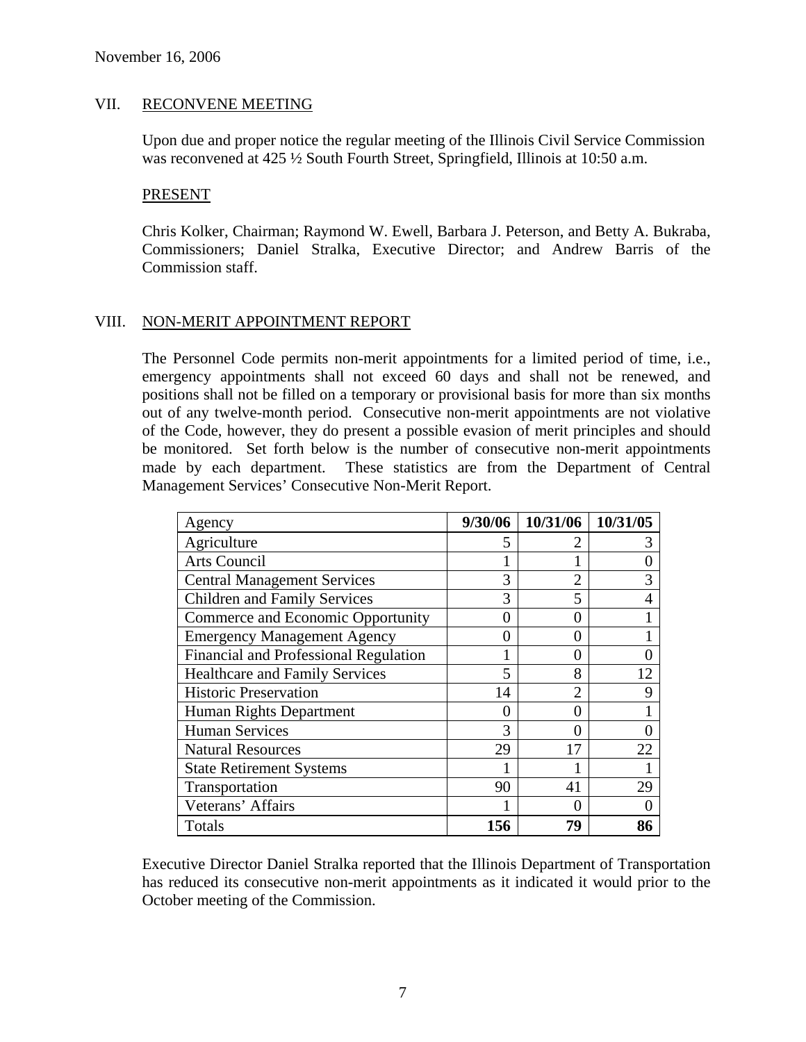### VII. RECONVENE MEETING

Upon due and proper notice the regular meeting of the Illinois Civil Service Commission was reconvened at 425  $\frac{1}{2}$  South Fourth Street, Springfield, Illinois at 10:50 a.m.

#### PRESENT

Chris Kolker, Chairman; Raymond W. Ewell, Barbara J. Peterson, and Betty A. Bukraba, Commissioners; Daniel Stralka, Executive Director; and Andrew Barris of the Commission staff.

### VIII. NON-MERIT APPOINTMENT REPORT

The Personnel Code permits non-merit appointments for a limited period of time, i.e., emergency appointments shall not exceed 60 days and shall not be renewed, and positions shall not be filled on a temporary or provisional basis for more than six months out of any twelve-month period. Consecutive non-merit appointments are not violative of the Code, however, they do present a possible evasion of merit principles and should be monitored. Set forth below is the number of consecutive non-merit appointments made by each department. These statistics are from the Department of Central Management Services' Consecutive Non-Merit Report.

| Agency                                | 9/30/06           | 10/31/06 10/31/05 |    |
|---------------------------------------|-------------------|-------------------|----|
| Agriculture                           | 5                 |                   | 3  |
| <b>Arts Council</b>                   |                   |                   |    |
| <b>Central Management Services</b>    | 3                 | $\overline{2}$    | 3  |
| <b>Children and Family Services</b>   | 3                 | 5                 | 4  |
| Commerce and Economic Opportunity     | $\theta$          | 0                 |    |
| <b>Emergency Management Agency</b>    | $\mathbf{\Omega}$ | 0                 |    |
| Financial and Professional Regulation |                   | 0                 |    |
| <b>Healthcare and Family Services</b> |                   | 8                 | 12 |
| <b>Historic Preservation</b>          | 14                | $\overline{2}$    | 9  |
| Human Rights Department               | 0                 | 0                 |    |
| <b>Human Services</b>                 | 3                 | 0                 |    |
| <b>Natural Resources</b>              | 29                | 17                | 22 |
| <b>State Retirement Systems</b>       |                   |                   |    |
| Transportation                        | 90                | 41                | 29 |
| Veterans' Affairs                     |                   | 0                 |    |
| Totals                                | 156               | 79                | 86 |

Executive Director Daniel Stralka reported that the Illinois Department of Transportation has reduced its consecutive non-merit appointments as it indicated it would prior to the October meeting of the Commission.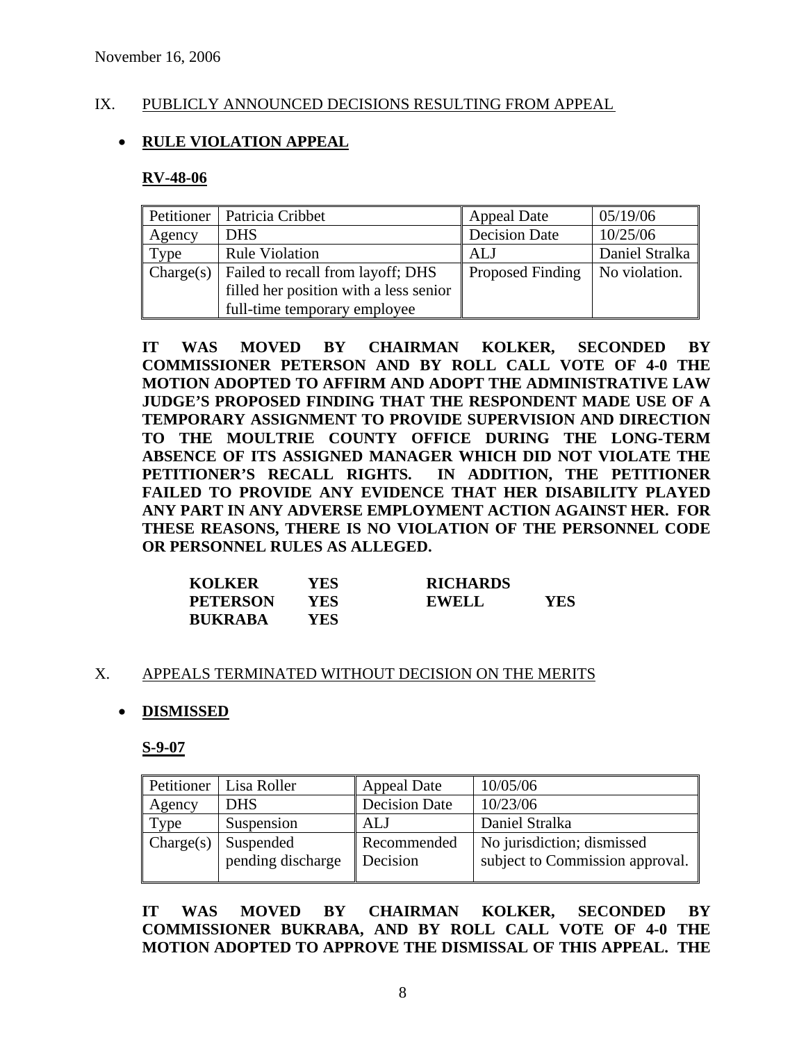## IX. PUBLICLY ANNOUNCED DECISIONS RESULTING FROM APPEAL

## • **RULE VIOLATION APPEAL**

#### **RV-48-06**

|        | Petitioner   Patricia Cribbet                               | <b>Appeal Date</b>      | 05/19/06       |
|--------|-------------------------------------------------------------|-------------------------|----------------|
| Agency | <b>DHS</b>                                                  | <b>Decision Date</b>    | 10/25/06       |
| Type   | <b>Rule Violation</b>                                       | ALJ                     | Daniel Stralka |
|        | $\vert$ Charge(s) $\vert$ Failed to recall from layoff; DHS | <b>Proposed Finding</b> | No violation.  |
|        | filled her position with a less senior                      |                         |                |
|        | full-time temporary employee                                |                         |                |

**IT WAS MOVED BY CHAIRMAN KOLKER, SECONDED BY COMMISSIONER PETERSON AND BY ROLL CALL VOTE OF 4-0 THE MOTION ADOPTED TO AFFIRM AND ADOPT THE ADMINISTRATIVE LAW JUDGE'S PROPOSED FINDING THAT THE RESPONDENT MADE USE OF A TEMPORARY ASSIGNMENT TO PROVIDE SUPERVISION AND DIRECTION TO THE MOULTRIE COUNTY OFFICE DURING THE LONG-TERM ABSENCE OF ITS ASSIGNED MANAGER WHICH DID NOT VIOLATE THE PETITIONER'S RECALL RIGHTS. IN ADDITION, THE PETITIONER FAILED TO PROVIDE ANY EVIDENCE THAT HER DISABILITY PLAYED ANY PART IN ANY ADVERSE EMPLOYMENT ACTION AGAINST HER. FOR THESE REASONS, THERE IS NO VIOLATION OF THE PERSONNEL CODE OR PERSONNEL RULES AS ALLEGED.** 

| <b>KOLKER</b>   | YES | <b>RICHARDS</b> |     |
|-----------------|-----|-----------------|-----|
| <b>PETERSON</b> | YES | EWELL           | YES |
| <b>BUKRABA</b>  | YES |                 |     |

### X. APPEALS TERMINATED WITHOUT DECISION ON THE MERITS

### • **DISMISSED**

**S-9-07**

| Petitioner | Lisa Roller       | <b>Appeal Date</b>   | 10/05/06                        |
|------------|-------------------|----------------------|---------------------------------|
| Agency     | <b>DHS</b>        | <b>Decision Date</b> | 10/23/06                        |
| Type       | Suspension        | ALJ                  | Daniel Stralka                  |
| Change(s)  | Suspended         | Recommended          | No jurisdiction; dismissed      |
|            | pending discharge | Decision             | subject to Commission approval. |
|            |                   |                      |                                 |

**IT WAS MOVED BY CHAIRMAN KOLKER, SECONDED BY COMMISSIONER BUKRABA, AND BY ROLL CALL VOTE OF 4-0 THE MOTION ADOPTED TO APPROVE THE DISMISSAL OF THIS APPEAL. THE**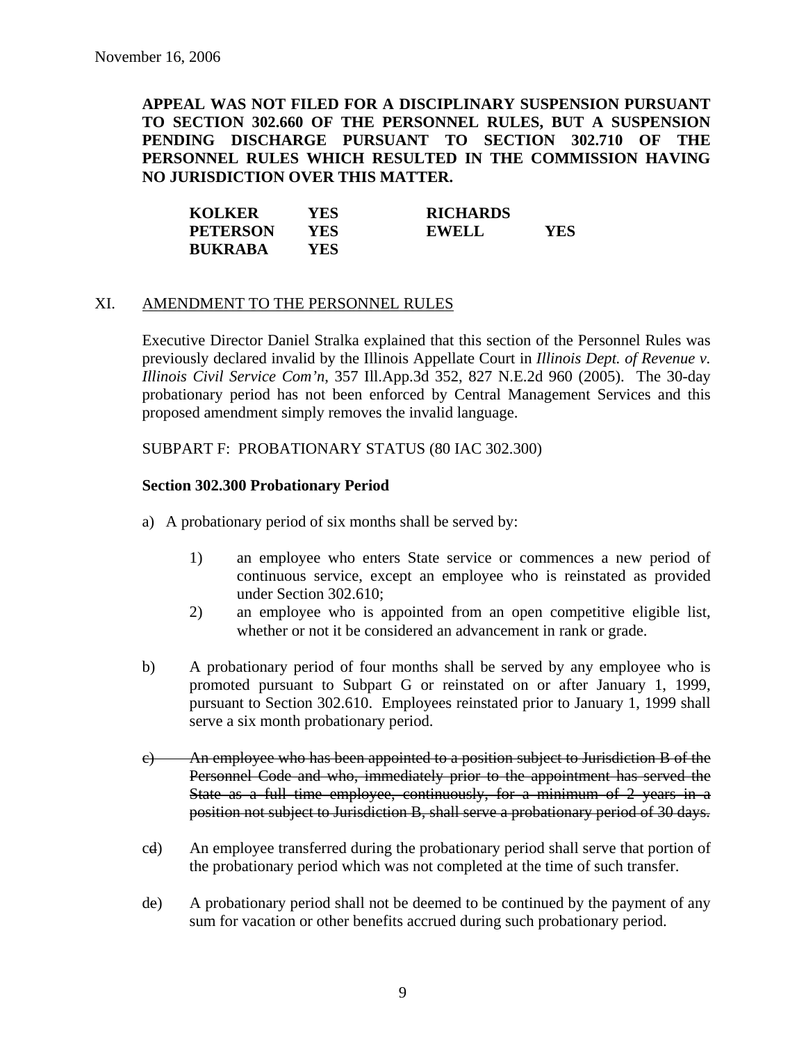**APPEAL WAS NOT FILED FOR A DISCIPLINARY SUSPENSION PURSUANT TO SECTION 302.660 OF THE PERSONNEL RULES, BUT A SUSPENSION PENDING DISCHARGE PURSUANT TO SECTION 302.710 OF THE PERSONNEL RULES WHICH RESULTED IN THE COMMISSION HAVING NO JURISDICTION OVER THIS MATTER.** 

| <b>KOLKER</b>   | YES  | <b>RICHARDS</b> |     |
|-----------------|------|-----------------|-----|
| <b>PETERSON</b> | YES  | <b>EWELL</b>    | YES |
| <b>BUKRABA</b>  | YES. |                 |     |

### XI. AMENDMENT TO THE PERSONNEL RULES

Executive Director Daniel Stralka explained that this section of the Personnel Rules was previously declared invalid by the Illinois Appellate Court in *Illinois Dept. of Revenue v. Illinois Civil Service Com'n*, 357 Ill.App.3d 352, 827 N.E.2d 960 (2005). The 30-day probationary period has not been enforced by Central Management Services and this proposed amendment simply removes the invalid language.

### SUBPART F: PROBATIONARY STATUS (80 IAC 302.300)

## **Section 302.300 Probationary Period**

- a) A probationary period of six months shall be served by:
	- 1) an employee who enters State service or commences a new period of continuous service, except an employee who is reinstated as provided under Section 302.610;
	- 2) an employee who is appointed from an open competitive eligible list, whether or not it be considered an advancement in rank or grade.
- b) A probationary period of four months shall be served by any employee who is promoted pursuant to Subpart G or reinstated on or after January 1, 1999, pursuant to Section 302.610. Employees reinstated prior to January 1, 1999 shall serve a six month probationary period.
- c) An employee who has been appointed to a position subject to Jurisdiction B of the Personnel Code and who, immediately prior to the appointment has served the State as a full time employee, continuously, for a minimum of 2 years in a position not subject to Jurisdiction B, shall serve a probationary period of 30 days.
- cd) An employee transferred during the probationary period shall serve that portion of the probationary period which was not completed at the time of such transfer.
- de) A probationary period shall not be deemed to be continued by the payment of any sum for vacation or other benefits accrued during such probationary period.